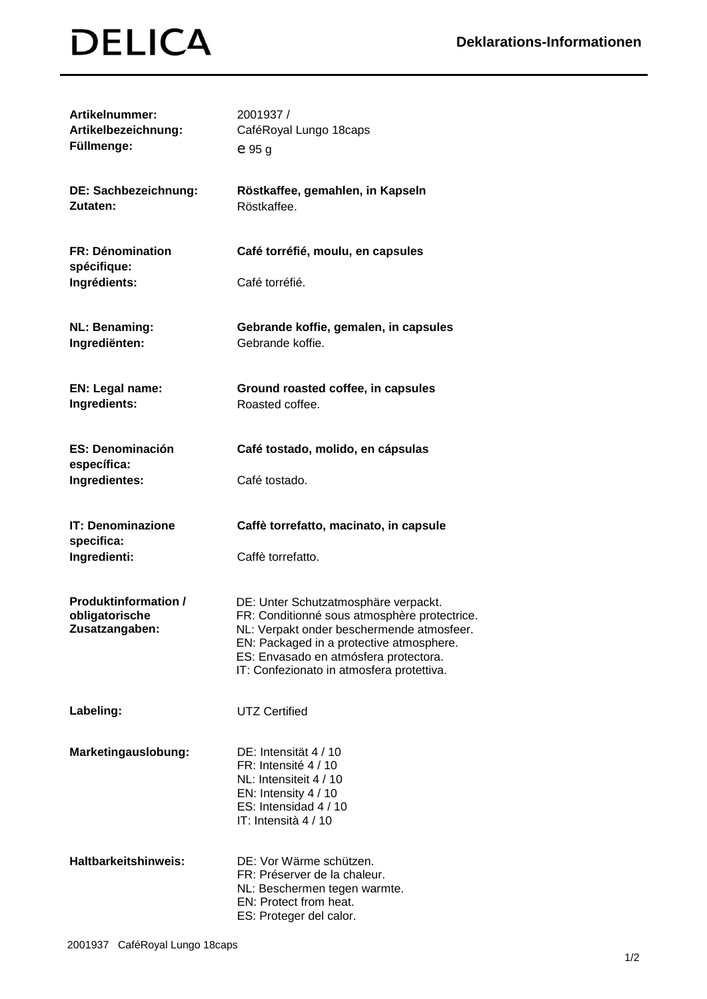## **DELICA**

| Artikelnummer:<br>Artikelbezeichnung:<br>Füllmenge:             | 2001937 /<br>CaféRoyal Lungo 18caps<br>$e_{95g}$                                                                                                                                                                                                                    |
|-----------------------------------------------------------------|---------------------------------------------------------------------------------------------------------------------------------------------------------------------------------------------------------------------------------------------------------------------|
| DE: Sachbezeichnung:<br>Zutaten:                                | Röstkaffee, gemahlen, in Kapseln<br>Röstkaffee.                                                                                                                                                                                                                     |
| <b>FR: Dénomination</b><br>spécifique:<br>Ingrédients:          | Café torréfié, moulu, en capsules<br>Café torréfié.                                                                                                                                                                                                                 |
|                                                                 |                                                                                                                                                                                                                                                                     |
| <b>NL: Benaming:</b><br>Ingrediënten:                           | Gebrande koffie, gemalen, in capsules<br>Gebrande koffie.                                                                                                                                                                                                           |
| EN: Legal name:<br>Ingredients:                                 | Ground roasted coffee, in capsules<br>Roasted coffee.                                                                                                                                                                                                               |
| <b>ES: Denominación</b><br>específica:                          | Café tostado, molido, en cápsulas                                                                                                                                                                                                                                   |
| Ingredientes:                                                   | Café tostado.                                                                                                                                                                                                                                                       |
| <b>IT: Denominazione</b><br>specifica:                          | Caffè torrefatto, macinato, in capsule                                                                                                                                                                                                                              |
| Ingredienti:                                                    | Caffè torrefatto.                                                                                                                                                                                                                                                   |
| <b>Produktinformation /</b><br>obligatorische<br>Zusatzangaben: | DE: Unter Schutzatmosphäre verpackt.<br>FR: Conditionné sous atmosphère protectrice.<br>NL: Verpakt onder beschermende atmosfeer.<br>EN: Packaged in a protective atmosphere.<br>ES: Envasado en atmósfera protectora.<br>IT: Confezionato in atmosfera protettiva. |
| Labeling:                                                       | <b>UTZ Certified</b>                                                                                                                                                                                                                                                |
| Marketingauslobung:                                             | DE: Intensität 4 / 10<br>FR: Intensité 4 / 10<br>NL: Intensiteit 4 / 10<br>EN: Intensity 4 / 10<br>ES: Intensidad 4 / 10<br>IT: Intensità 4 / 10                                                                                                                    |
| <b>Haltbarkeitshinweis:</b>                                     | DE: Vor Wärme schützen.<br>FR: Préserver de la chaleur.<br>NL: Beschermen tegen warmte.<br>EN: Protect from heat.<br>ES: Proteger del calor.                                                                                                                        |